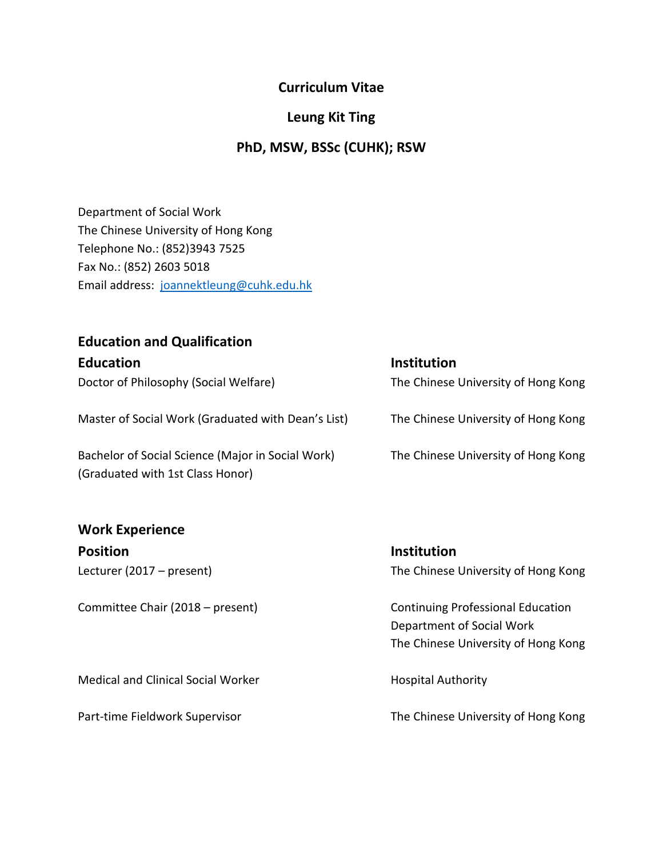### **Curriculum Vitae**

### **Leung Kit Ting**

### **PhD, MSW, BSSc (CUHK); RSW**

Department of Social Work The Chinese University of Hong Kong Telephone No.: (852)3943 7525 Fax No.: (852) 2603 5018 Email address: [joannektleung@cuhk.edu.hk](mailto:joannektleung@cuhk.edu.hk)

### **Education and Qualification**

| <b>Education</b>                                                                      | <b>Institution</b>                  |
|---------------------------------------------------------------------------------------|-------------------------------------|
| Doctor of Philosophy (Social Welfare)                                                 | The Chinese University of Hong Kong |
| Master of Social Work (Graduated with Dean's List)                                    | The Chinese University of Hong Kong |
| Bachelor of Social Science (Major in Social Work)<br>(Graduated with 1st Class Honor) | The Chinese University of Hong Kong |

# **Work Experience**

**Position Institution**

Medical and Clinical Social Worker **Hospital Authority** 

Lecturer (2017 – present) The Chinese University of Hong Kong

Committee Chair (2018 – present) Continuing Professional Education Department of Social Work The Chinese University of Hong Kong

Part-time Fieldwork Supervisor The Chinese University of Hong Kong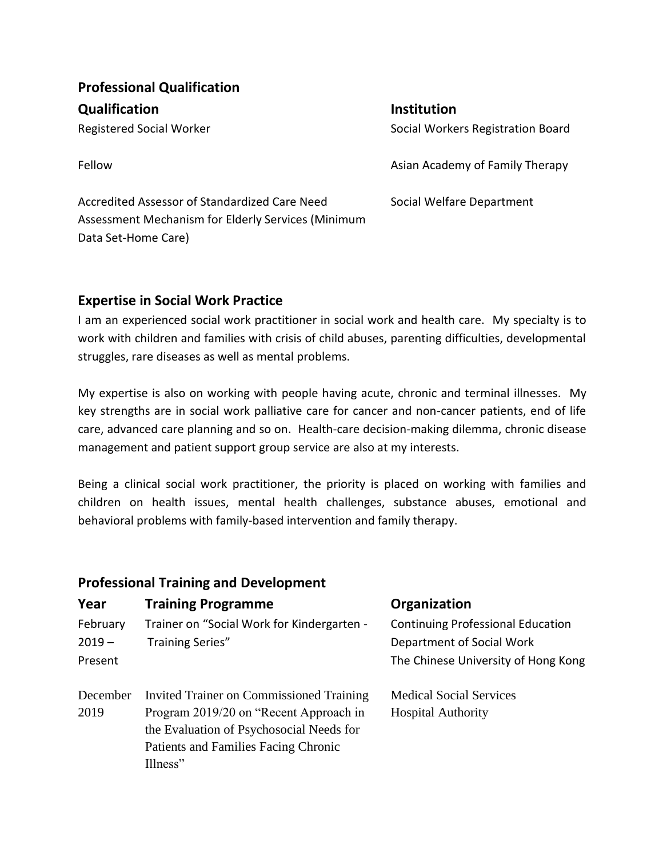| <b>Professional Qualification</b>                                                                   |                                   |  |  |
|-----------------------------------------------------------------------------------------------------|-----------------------------------|--|--|
| <b>Qualification</b>                                                                                | <b>Institution</b>                |  |  |
| Registered Social Worker                                                                            | Social Workers Registration Board |  |  |
| Fellow                                                                                              | Asian Academy of Family Therapy   |  |  |
| Accredited Assessor of Standardized Care Need<br>Assessment Mechanism for Elderly Services (Minimum | Social Welfare Department         |  |  |
| Data Set-Home Care)                                                                                 |                                   |  |  |

#### **Expertise in Social Work Practice**

I am an experienced social work practitioner in social work and health care. My specialty is to work with children and families with crisis of child abuses, parenting difficulties, developmental struggles, rare diseases as well as mental problems.

My expertise is also on working with people having acute, chronic and terminal illnesses. My key strengths are in social work palliative care for cancer and non-cancer patients, end of life care, advanced care planning and so on. Health-care decision-making dilemma, chronic disease management and patient support group service are also at my interests.

Being a clinical social work practitioner, the priority is placed on working with families and children on health issues, mental health challenges, substance abuses, emotional and behavioral problems with family-based intervention and family therapy.

| <b>Professional Training and Development</b> |                                                 |                                          |  |  |
|----------------------------------------------|-------------------------------------------------|------------------------------------------|--|--|
| Year                                         | <b>Training Programme</b>                       | Organization                             |  |  |
| February                                     | Trainer on "Social Work for Kindergarten -      | <b>Continuing Professional Education</b> |  |  |
| $2019 -$                                     | <b>Training Series"</b>                         | Department of Social Work                |  |  |
| Present                                      |                                                 | The Chinese University of Hong Kong      |  |  |
| December                                     | <b>Invited Trainer on Commissioned Training</b> | <b>Medical Social Services</b>           |  |  |
| 2019                                         | Program 2019/20 on "Recent Approach in          | <b>Hospital Authority</b>                |  |  |
|                                              | the Evaluation of Psychosocial Needs for        |                                          |  |  |
|                                              | Patients and Families Facing Chronic            |                                          |  |  |
|                                              | Illness"                                        |                                          |  |  |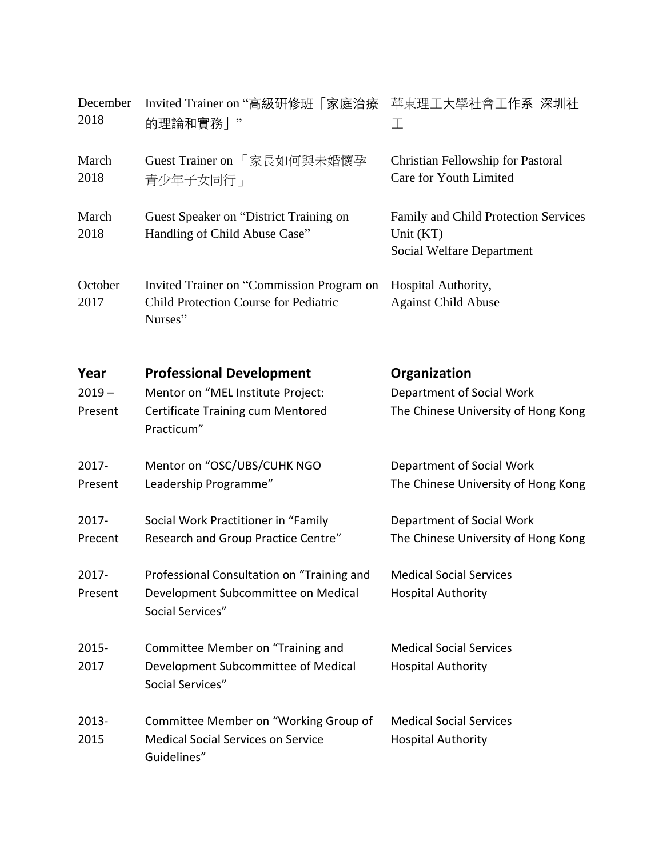| December<br>2018 | Invited Trainer on "高級研修班「家庭治療<br>的理論和實務」"                                                           | 華東理工大學社會工作系 深圳社<br>工                                                           |
|------------------|------------------------------------------------------------------------------------------------------|--------------------------------------------------------------------------------|
| March<br>2018    | Guest Trainer on 「家長如何與未婚懷孕<br>青少年子女同行」                                                              | Christian Fellowship for Pastoral<br>Care for Youth Limited                    |
| March<br>2018    | Guest Speaker on "District Training on<br>Handling of Child Abuse Case"                              | Family and Child Protection Services<br>Unit (KT)<br>Social Welfare Department |
| October<br>2017  | Invited Trainer on "Commission Program on<br><b>Child Protection Course for Pediatric</b><br>Nurses" | Hospital Authority,<br><b>Against Child Abuse</b>                              |
| Year             | <b>Professional Development</b>                                                                      | Organization                                                                   |
| $2019 -$         | Mentor on "MEL Institute Project:                                                                    | Department of Social Work                                                      |
| Present          | Certificate Training cum Mentored<br>Practicum"                                                      | The Chinese University of Hong Kong                                            |
| 2017-            | Mentor on "OSC/UBS/CUHK NGO                                                                          | Department of Social Work                                                      |
| Present          | Leadership Programme"                                                                                | The Chinese University of Hong Kong                                            |
| 2017-            | Social Work Practitioner in "Family                                                                  | Department of Social Work                                                      |
| Precent          | Research and Group Practice Centre"                                                                  | The Chinese University of Hong Kong                                            |
| 2017-            | Professional Consultation on "Training and                                                           | <b>Medical Social Services</b>                                                 |
| Present          | Development Subcommittee on Medical<br>Social Services"                                              | <b>Hospital Authority</b>                                                      |
| 2015-            | Committee Member on "Training and                                                                    | <b>Medical Social Services</b>                                                 |
| 2017             | Development Subcommittee of Medical<br>Social Services"                                              | <b>Hospital Authority</b>                                                      |
| 2013-            | Committee Member on "Working Group of                                                                | <b>Medical Social Services</b>                                                 |
| 2015             | <b>Medical Social Services on Service</b><br>Guidelines"                                             | <b>Hospital Authority</b>                                                      |